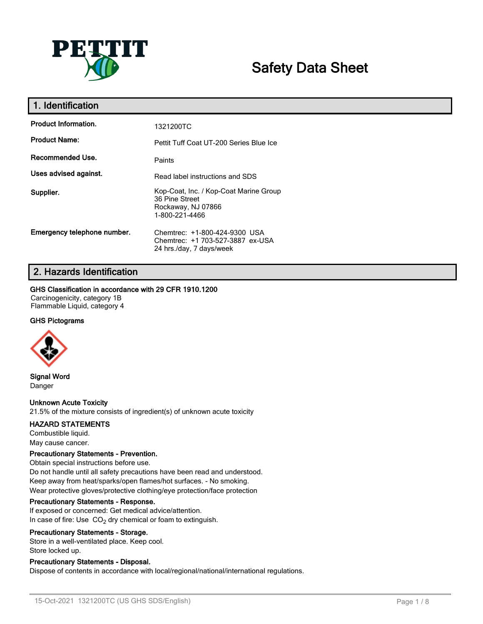

# **Safety Data Sheet**

| 1. Identification           |                                                                                                  |
|-----------------------------|--------------------------------------------------------------------------------------------------|
| <b>Product Information.</b> | 1321200TC                                                                                        |
| <b>Product Name:</b>        | Pettit Tuff Coat UT-200 Series Blue Ice                                                          |
| Recommended Use.            | Paints                                                                                           |
| Uses advised against.       | Read label instructions and SDS                                                                  |
| Supplier.                   | Kop-Coat, Inc. / Kop-Coat Marine Group<br>36 Pine Street<br>Rockaway, NJ 07866<br>1-800-221-4466 |
| Emergency telephone number. | Chemtrec: +1-800-424-9300 USA<br>Chemtrec: +1 703-527-3887 ex-USA<br>24 hrs./day, 7 days/week    |

# **2. Hazards Identification**

### **GHS Classification in accordance with 29 CFR 1910.1200**

Carcinogenicity, category 1B Flammable Liquid, category 4

### **GHS Pictograms**



**Signal Word** Danger

### **Unknown Acute Toxicity**

21.5% of the mixture consists of ingredient(s) of unknown acute toxicity

### **HAZARD STATEMENTS**

Combustible liquid. May cause cancer.

### **Precautionary Statements - Prevention.**

Obtain special instructions before use. Do not handle until all safety precautions have been read and understood. Keep away from heat/sparks/open flames/hot surfaces. - No smoking. Wear protective gloves/protective clothing/eye protection/face protection

### **Precautionary Statements - Response.**

If exposed or concerned: Get medical advice/attention. In case of fire: Use  $CO<sub>2</sub>$  dry chemical or foam to extinguish.

### **Precautionary Statements - Storage.**

Store in a well-ventilated place. Keep cool. Store locked up.

### **Precautionary Statements - Disposal.**

Dispose of contents in accordance with local/regional/national/international regulations.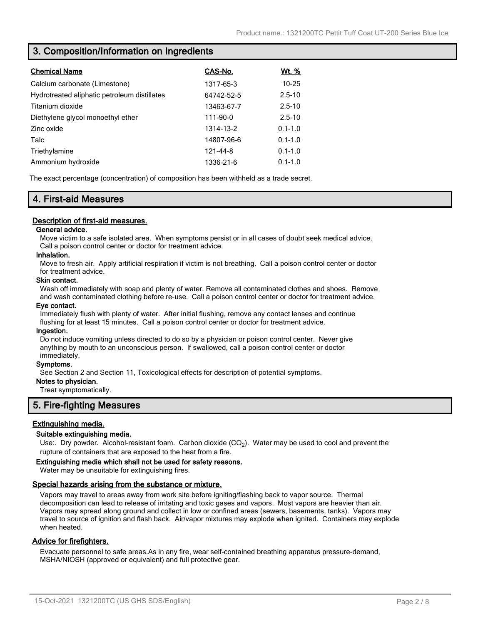### **3. Composition/Information on Ingredients**

| <b>Chemical Name</b>                         | CAS-No.    | <u>Wt. %</u> |
|----------------------------------------------|------------|--------------|
| Calcium carbonate (Limestone)                | 1317-65-3  | $10 - 25$    |
| Hydrotreated aliphatic petroleum distillates | 64742-52-5 | $2.5 - 10$   |
| Titanium dioxide                             | 13463-67-7 | $2.5 - 10$   |
| Diethylene glycol monoethyl ether            | 111-90-0   | $2.5 - 10$   |
| Zinc oxide                                   | 1314-13-2  | $0.1 - 1.0$  |
| Talc                                         | 14807-96-6 | $0.1 - 1.0$  |
| Triethylamine                                | 121-44-8   | $0.1 - 1.0$  |
| Ammonium hydroxide                           | 1336-21-6  | $0.1 - 1.0$  |

The exact percentage (concentration) of composition has been withheld as a trade secret.

### **4. First-aid Measures**

### **Description of first-aid measures.**

### **General advice.**

Move victim to a safe isolated area. When symptoms persist or in all cases of doubt seek medical advice. Call a poison control center or doctor for treatment advice.

### **Inhalation.**

Move to fresh air. Apply artificial respiration if victim is not breathing. Call a poison control center or doctor for treatment advice.

#### **Skin contact.**

Wash off immediately with soap and plenty of water. Remove all contaminated clothes and shoes. Remove and wash contaminated clothing before re-use. Call a poison control center or doctor for treatment advice.

### **Eye contact.**

Immediately flush with plenty of water. After initial flushing, remove any contact lenses and continue flushing for at least 15 minutes. Call a poison control center or doctor for treatment advice.

#### **Ingestion.**

Do not induce vomiting unless directed to do so by a physician or poison control center. Never give anything by mouth to an unconscious person. If swallowed, call a poison control center or doctor immediately.

### **Symptoms.**

See Section 2 and Section 11, Toxicological effects for description of potential symptoms.

### **Notes to physician.**

Treat symptomatically.

### **5. Fire-fighting Measures**

### **Extinguishing media.**

### **Suitable extinguishing media.**

Use:. Dry powder. Alcohol-resistant foam. Carbon dioxide (CO<sub>2</sub>). Water may be used to cool and prevent the rupture of containers that are exposed to the heat from a fire.

#### **Extinguishing media which shall not be used for safety reasons.**

Water may be unsuitable for extinguishing fires.

### **Special hazards arising from the substance or mixture.**

Vapors may travel to areas away from work site before igniting/flashing back to vapor source. Thermal decomposition can lead to release of irritating and toxic gases and vapors. Most vapors are heavier than air. Vapors may spread along ground and collect in low or confined areas (sewers, basements, tanks). Vapors may travel to source of ignition and flash back. Air/vapor mixtures may explode when ignited. Containers may explode when heated.

### **Advice for firefighters.**

Evacuate personnel to safe areas.As in any fire, wear self-contained breathing apparatus pressure-demand, MSHA/NIOSH (approved or equivalent) and full protective gear.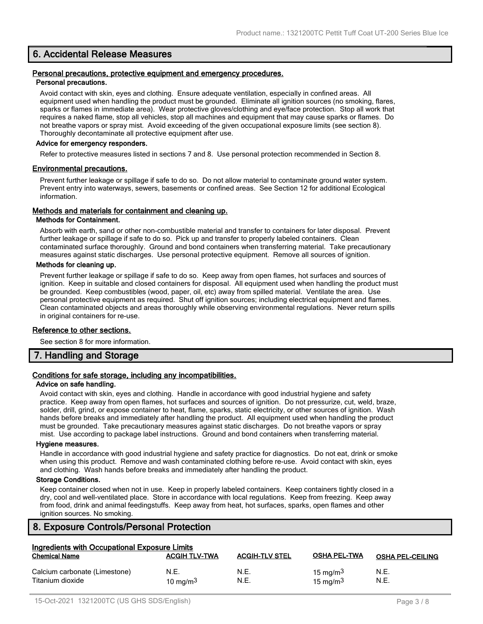### **6. Accidental Release Measures**

#### **Personal precautions, protective equipment and emergency procedures. Personal precautions.**

Avoid contact with skin, eyes and clothing. Ensure adequate ventilation, especially in confined areas. All equipment used when handling the product must be grounded. Eliminate all ignition sources (no smoking, flares, sparks or flames in immediate area). Wear protective gloves/clothing and eye/face protection. Stop all work that requires a naked flame, stop all vehicles, stop all machines and equipment that may cause sparks or flames. Do not breathe vapors or spray mist. Avoid exceeding of the given occupational exposure limits (see section 8). Thoroughly decontaminate all protective equipment after use.

### **Advice for emergency responders.**

Refer to protective measures listed in sections 7 and 8. Use personal protection recommended in Section 8.

### **Environmental precautions.**

Prevent further leakage or spillage if safe to do so. Do not allow material to contaminate ground water system. Prevent entry into waterways, sewers, basements or confined areas. See Section 12 for additional Ecological information.

### **Methods and materials for containment and cleaning up.**

#### **Methods for Containment.**

Absorb with earth, sand or other non-combustible material and transfer to containers for later disposal. Prevent further leakage or spillage if safe to do so. Pick up and transfer to properly labeled containers. Clean contaminated surface thoroughly. Ground and bond containers when transferring material. Take precautionary measures against static discharges. Use personal protective equipment. Remove all sources of ignition.

### **Methods for cleaning up.**

Prevent further leakage or spillage if safe to do so. Keep away from open flames, hot surfaces and sources of ignition. Keep in suitable and closed containers for disposal. All equipment used when handling the product must be grounded. Keep combustibles (wood, paper, oil, etc) away from spilled material. Ventilate the area. Use personal protective equipment as required. Shut off ignition sources; including electrical equipment and flames. Clean contaminated objects and areas thoroughly while observing environmental regulations. Never return spills in original containers for re-use.

### **Reference to other sections.**

See section 8 for more information.

### **7. Handling and Storage**

### **Conditions for safe storage, including any incompatibilities.**

#### **Advice on safe handling.**

Avoid contact with skin, eyes and clothing. Handle in accordance with good industrial hygiene and safety practice. Keep away from open flames, hot surfaces and sources of ignition. Do not pressurize, cut, weld, braze, solder, drill, grind, or expose container to heat, flame, sparks, static electricity, or other sources of ignition. Wash hands before breaks and immediately after handling the product. All equipment used when handling the product must be grounded. Take precautionary measures against static discharges. Do not breathe vapors or spray mist. Use according to package label instructions. Ground and bond containers when transferring material.

#### **Hygiene measures.**

Handle in accordance with good industrial hygiene and safety practice for diagnostics. Do not eat, drink or smoke when using this product. Remove and wash contaminated clothing before re-use. Avoid contact with skin, eyes and clothing. Wash hands before breaks and immediately after handling the product.

### **Storage Conditions.**

Keep container closed when not in use. Keep in properly labeled containers. Keep containers tightly closed in a dry, cool and well-ventilated place. Store in accordance with local regulations. Keep from freezing. Keep away from food, drink and animal feedingstuffs. Keep away from heat, hot surfaces, sparks, open flames and other ignition sources. No smoking.

### **8. Exposure Controls/Personal Protection**

| Ingredients with Occupational Exposure Limits     |                      |                       |                            |                         |
|---------------------------------------------------|----------------------|-----------------------|----------------------------|-------------------------|
| <b>Chemical Name</b>                              | <b>ACGIH TLV-TWA</b> | <b>ACGIH-TLV STEL</b> | <b>OSHA PEL-TWA</b>        | <b>OSHA PEL-CEILING</b> |
| Calcium carbonate (Limestone)<br>Titanium dioxide | N.E.<br>10 mg/m $3$  | N.E.<br>N.E.          | 15 mg/m $3$<br>15 mg/m $3$ | N.E.<br>N.E.            |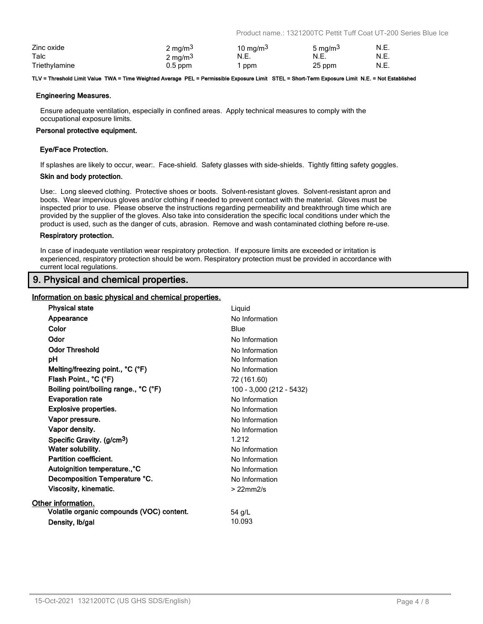Product name.: 1321200TC Pettit Tuff Coat UT-200 Series Blue Ice

| Zinc oxide    | $2 \text{ mg/m}^3$ | 10 mg/m $3$ | 5 mg/m <sup>3</sup> | N.E. |
|---------------|--------------------|-------------|---------------------|------|
| Talc          | $2 \text{ mg/m}^3$ | N.E.        | N.E.                | N.E. |
| Triethylamine | $0.5$ ppm          | ppm         | 25 ppm              | N.E. |

#### **TLV = Threshold Limit Value TWA = Time Weighted Average PEL = Permissible Exposure Limit STEL = Short-Term Exposure Limit N.E. = Not Established**

### **Engineering Measures.**

Ensure adequate ventilation, especially in confined areas. Apply technical measures to comply with the occupational exposure limits.

#### **Personal protective equipment.**

### **Eye/Face Protection.**

If splashes are likely to occur, wear:. Face-shield. Safety glasses with side-shields. Tightly fitting safety goggles.

#### **Skin and body protection.**

Use:. Long sleeved clothing. Protective shoes or boots. Solvent-resistant gloves. Solvent-resistant apron and boots. Wear impervious gloves and/or clothing if needed to prevent contact with the material. Gloves must be inspected prior to use. Please observe the instructions regarding permeability and breakthrough time which are provided by the supplier of the gloves. Also take into consideration the specific local conditions under which the product is used, such as the danger of cuts, abrasion. Remove and wash contaminated clothing before re-use.

#### **Respiratory protection.**

In case of inadequate ventilation wear respiratory protection. If exposure limits are exceeded or irritation is experienced, respiratory protection should be worn. Respiratory protection must be provided in accordance with current local regulations.

### **9. Physical and chemical properties.**

### **Information on basic physical and chemical properties.**

| <b>Physical state</b>                     | Liquid                   |
|-------------------------------------------|--------------------------|
| Appearance                                | No Information           |
| Color                                     | Blue                     |
| Odor                                      | No Information           |
| <b>Odor Threshold</b>                     | No Information           |
| рH                                        | No Information           |
| Melting/freezing point., °C (°F)          | No Information           |
| Flash Point., °C (°F)                     | 72 (161.60)              |
| Boiling point/boiling range., °C (°F)     | 100 - 3,000 (212 - 5432) |
| <b>Evaporation rate</b>                   | No Information           |
| <b>Explosive properties.</b>              | No Information           |
| Vapor pressure.                           | No Information           |
| Vapor density.                            | No Information           |
| Specific Gravity. (g/cm <sup>3</sup> )    | 1.212                    |
| Water solubility.                         | No Information           |
| Partition coefficient.                    | No Information           |
| Autoignition temperature., °C             | No Information           |
| Decomposition Temperature °C.             | No Information           |
| Viscosity, kinematic.                     | $>22$ mm $2/s$           |
| Other information.                        |                          |
| Volatile organic compounds (VOC) content. | 54 g/L                   |
| Density, Ib/gal                           | 10.093                   |
|                                           |                          |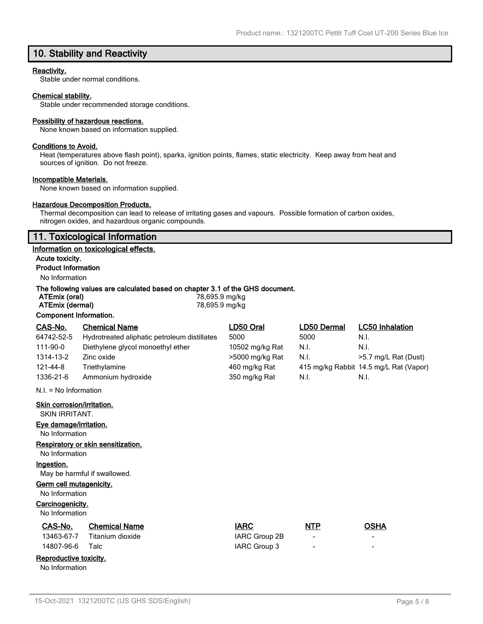### **10. Stability and Reactivity**

### **Reactivity.**

Stable under normal conditions.

### **Chemical stability.**

Stable under recommended storage conditions.

#### **Possibility of hazardous reactions.**

None known based on information supplied.

### **Conditions to Avoid.**

Heat (temperatures above flash point), sparks, ignition points, flames, static electricity. Keep away from heat and sources of ignition. Do not freeze.

#### **Incompatible Materials.**

None known based on information supplied.

### **Hazardous Decomposition Products.**

Thermal decomposition can lead to release of irritating gases and vapours. Possible formation of carbon oxides, nitrogen oxides, and hazardous organic compounds.

### **11. Toxicological Information**

#### **Information on toxicological effects.**

**Acute toxicity. Product Information**

### No Information

### **The following values are calculated based on chapter 3.1 of the GHS document.**

| ATEmix (oral)           | 78,695.9 mg/kg |              |             |
|-------------------------|----------------|--------------|-------------|
| ATEmix (dermal)         | 78,695.9 mg/kg |              |             |
| Component Information.  |                |              |             |
| CAS-No<br>Chemical Name | I D50 Oral     | l D50 Dermal | <u>LC50</u> |

| CAS-No.                 | <b>Chemical Name</b>                         | LD50 Oral       | LD50 Dermal | <b>LC50 Inhalation</b>                 |
|-------------------------|----------------------------------------------|-----------------|-------------|----------------------------------------|
| 64742-52-5              | Hydrotreated aliphatic petroleum distillates | 5000            | 5000        | N.I.                                   |
| 111-90-0                | Diethylene glycol monoethyl ether            | 10502 mg/kg Rat | N.I.        | N.I.                                   |
| 1314-13-2               | Zinc oxide                                   | >5000 mg/kg Rat | N.I.        | >5.7 mg/L Rat (Dust)                   |
| 121-44-8                | Triethylamine                                | 460 mg/kg Rat   |             | 415 mg/kg Rabbit 14.5 mg/L Rat (Vapor) |
| 1336-21-6               | Ammonium hydroxide                           | 350 mg/kg Rat   | N.I.        | N.I.                                   |
| $N.I. = No Information$ |                                              |                 |             |                                        |

**Skin corrosion/irritation.**

SKIN IRRITANT.

**Eye damage/irritation.**

No Information

**Respiratory or skin sensitization.**

### No Information

**Ingestion.**

May be harmful if swallowed.

#### **Germ cell mutagenicity.**

No Information

#### **Carcinogenicity.**

No Information

No Information

| No Information         |                      |               |                          |                          |
|------------------------|----------------------|---------------|--------------------------|--------------------------|
| CAS-No.                | <b>Chemical Name</b> | <b>IARC</b>   | <b>NTP</b>               | <b>OSHA</b>              |
| 13463-67-7             | Titanium dioxide     | IARC Group 2B | $\overline{\phantom{a}}$ | $\overline{\phantom{a}}$ |
| 14807-96-6             | Talc                 | IARC Group 3  | $\overline{\phantom{0}}$ | $\overline{\phantom{0}}$ |
| Reproductive toxicity. |                      |               |                          |                          |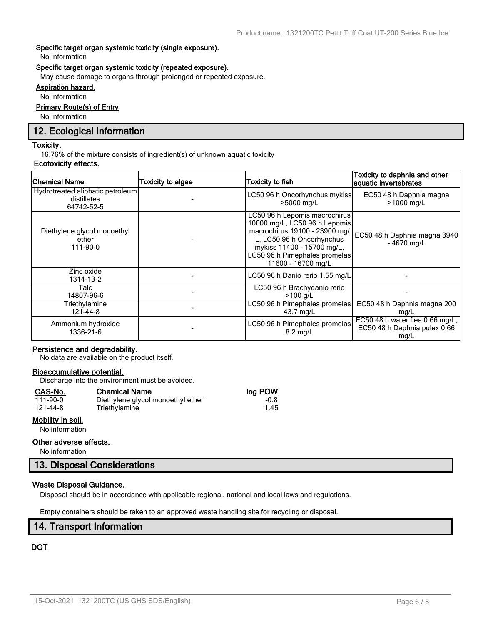### **Specific target organ systemic toxicity (single exposure).**

No Information

### **Specific target organ systemic toxicity (repeated exposure).**

May cause damage to organs through prolonged or repeated exposure.

### **Aspiration hazard.**

No Information

### **Primary Route(s) of Entry**

No Information

### **12. Ecological Information**

### **Toxicity.**

16.76% of the mixture consists of ingredient(s) of unknown aquatic toxicity

### **Ecotoxicity effects.**

| <b>Chemical Name</b>                                          | Toxicity to algae | <b>Toxicity to fish</b>                                                                                                                                                                                           | Toxicity to daphnia and other<br>aquatic invertebrates                  |
|---------------------------------------------------------------|-------------------|-------------------------------------------------------------------------------------------------------------------------------------------------------------------------------------------------------------------|-------------------------------------------------------------------------|
| Hydrotreated aliphatic petroleum<br>distillates<br>64742-52-5 |                   | LC50 96 h Oncorhynchus mykiss<br>>5000 mg/L                                                                                                                                                                       | EC50 48 h Daphnia magna<br>>1000 mg/L                                   |
| Diethylene glycol monoethyl<br>ether<br>111-90-0              |                   | LC50 96 h Lepomis macrochirus<br>10000 mg/L, LC50 96 h Lepomis<br>macrochirus 19100 - 23900 mg/<br>L, LC50 96 h Oncorhynchus<br>mykiss 11400 - 15700 mg/L,<br>LC50 96 h Pimephales promelas<br>11600 - 16700 mg/L | EC50 48 h Daphnia magna 3940<br>$-4670$ mg/L                            |
| Zinc oxide<br>1314-13-2                                       |                   | LC50 96 h Danio rerio 1.55 mg/L                                                                                                                                                                                   |                                                                         |
| Talc<br>14807-96-6                                            |                   | LC50 96 h Brachydanio rerio<br>$>100$ a/L                                                                                                                                                                         |                                                                         |
| Triethylamine<br>121-44-8                                     |                   | LC50 96 h Pimephales promelas<br>43.7 mg/L                                                                                                                                                                        | EC50 48 h Daphnia magna 200<br>mg/L                                     |
| Ammonium hydroxide<br>1336-21-6                               |                   | LC50 96 h Pimephales promelas<br>$8.2 \text{ ma/L}$                                                                                                                                                               | EC50 48 h water flea 0.66 mg/L,<br>EC50 48 h Daphnia pulex 0.66<br>mg/L |

### **Persistence and degradability.**

No data are available on the product itself.

### **Bioaccumulative potential.**

Discharge into the environment must be avoided.

Triethylamine

#### **CAS-No. Chemical Name log POW**

| 111-90-0 |  |
|----------|--|
| 121-44-8 |  |

### **Mobility in soil.**

No information

### **Other adverse effects.**

No information

### **13. Disposal Considerations**

### **Waste Disposal Guidance.**

Disposal should be in accordance with applicable regional, national and local laws and regulations.

Empty containers should be taken to an approved waste handling site for recycling or disposal.

### **14. Transport Information**

### **DOT**

1.00 Diethylene glycol monoethyl ether -0.8<br>1.45 Triethylamine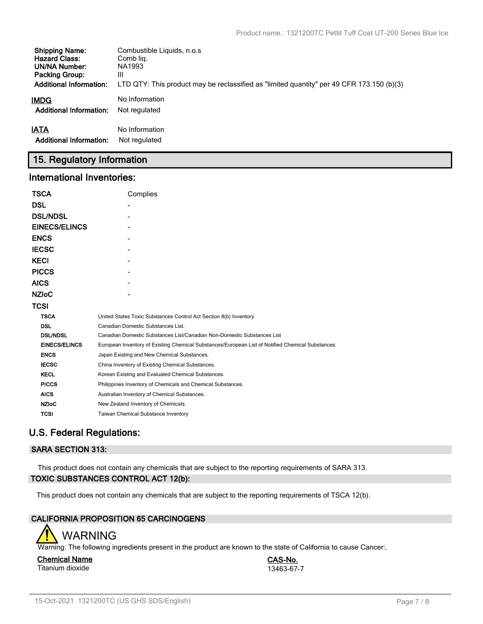| <b>Shipping Name:</b>          | Combustible Liquids, n.o.s.                                                               |
|--------------------------------|-------------------------------------------------------------------------------------------|
| <b>Hazard Class:</b>           | Comb lig.                                                                                 |
| UN/NA Number:                  | NA1993                                                                                    |
| <b>Packing Group:</b>          | Ш                                                                                         |
| <b>Additional Information:</b> | LTD QTY: This product may be reclassified as "limited quantity" per 49 CFR 173.150 (b)(3) |
| IMDG                           | No Information                                                                            |
| <b>Additional Information:</b> | Not regulated                                                                             |
| <b>IATA</b>                    | No Information                                                                            |
| <b>Additional Information:</b> | Not regulated                                                                             |

# **15. Regulatory Information**

### **International Inventories:**

| <b>TSCA</b>          | Complies                                                                                          |
|----------------------|---------------------------------------------------------------------------------------------------|
| <b>DSL</b>           |                                                                                                   |
| <b>DSL/NDSL</b>      |                                                                                                   |
| <b>EINECS/ELINCS</b> |                                                                                                   |
| <b>ENCS</b>          |                                                                                                   |
| <b>IECSC</b>         |                                                                                                   |
| <b>KECI</b>          |                                                                                                   |
| <b>PICCS</b>         |                                                                                                   |
| <b>AICS</b>          |                                                                                                   |
| <b>NZIOC</b>         |                                                                                                   |
| <b>TCSI</b>          |                                                                                                   |
| <b>TSCA</b>          | United States Toxic Substances Control Act Section 8(b) Inventory.                                |
| <b>DSL</b>           | Canadian Domestic Substances List.                                                                |
| <b>DSL/NDSL</b>      | Canadian Domestic Substances List/Canadian Non-Domestic Substances List                           |
| <b>EINECS/ELINCS</b> | European Inventory of Existing Chemical Substances/European List of Notified Chemical Substances. |
| <b>ENCS</b>          | Japan Existing and New Chemical Substances.                                                       |
| <b>IECSC</b>         | China Inventory of Existing Chemical Substances.                                                  |
| <b>KECL</b>          | Korean Existing and Evaluated Chemical Substances.                                                |
| <b>PICCS</b>         | Philippines Inventory of Chemicals and Chemical Substances.                                       |
| <b>AICS</b>          | Australian Inventory of Chemical Substances.                                                      |
| <b>NZIoC</b>         | New Zealand Inventory of Chemicals.                                                               |
| <b>TCSI</b>          | Taiwan Chemical Substance Inventory                                                               |

# **U.S. Federal Regulations:**

### **SARA SECTION 313:**

This product does not contain any chemicals that are subject to the reporting requirements of SARA 313. **TOXIC SUBSTANCES CONTROL ACT 12(b):**

This product does not contain any chemicals that are subject to the reporting requirements of TSCA 12(b).

### **CALIFORNIA PROPOSITION 65 CARCINOGENS**



Warning: The following ingredients present in the product are known to the state of California to cause Cancer:.

### **Chemical Name CAS-No.** Titanium dioxide